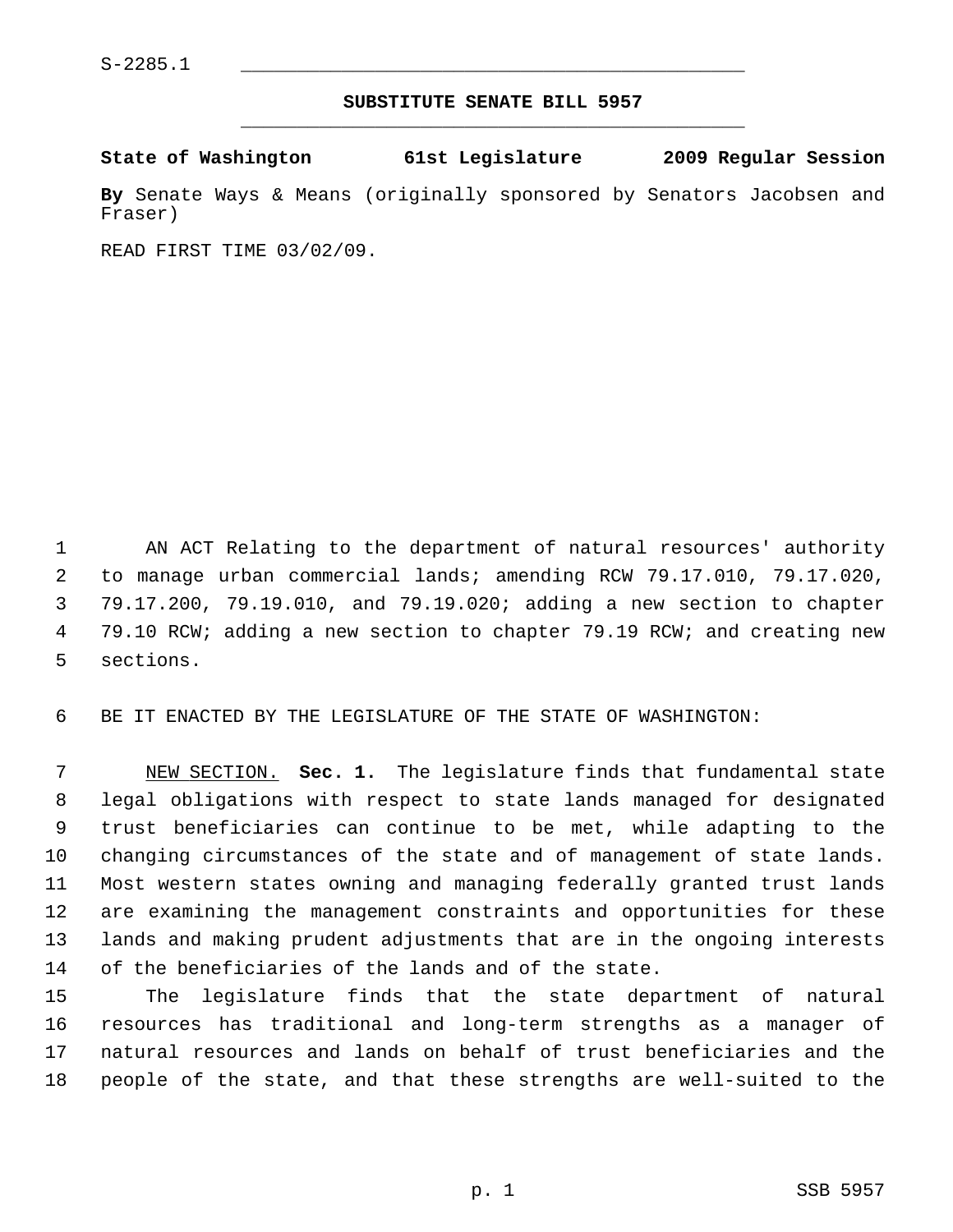## **SUBSTITUTE SENATE BILL 5957** \_\_\_\_\_\_\_\_\_\_\_\_\_\_\_\_\_\_\_\_\_\_\_\_\_\_\_\_\_\_\_\_\_\_\_\_\_\_\_\_\_\_\_\_\_

## **State of Washington 61st Legislature 2009 Regular Session**

**By** Senate Ways & Means (originally sponsored by Senators Jacobsen and Fraser)

READ FIRST TIME 03/02/09.

 1 AN ACT Relating to the department of natural resources' authority 2 to manage urban commercial lands; amending RCW 79.17.010, 79.17.020, 3 79.17.200, 79.19.010, and 79.19.020; adding a new section to chapter 4 79.10 RCW; adding a new section to chapter 79.19 RCW; and creating new 5 sections.

6 BE IT ENACTED BY THE LEGISLATURE OF THE STATE OF WASHINGTON:

 7 NEW SECTION. **Sec. 1.** The legislature finds that fundamental state 8 legal obligations with respect to state lands managed for designated 9 trust beneficiaries can continue to be met, while adapting to the 10 changing circumstances of the state and of management of state lands. 11 Most western states owning and managing federally granted trust lands 12 are examining the management constraints and opportunities for these 13 lands and making prudent adjustments that are in the ongoing interests 14 of the beneficiaries of the lands and of the state.

15 The legislature finds that the state department of natural 16 resources has traditional and long-term strengths as a manager of 17 natural resources and lands on behalf of trust beneficiaries and the 18 people of the state, and that these strengths are well-suited to the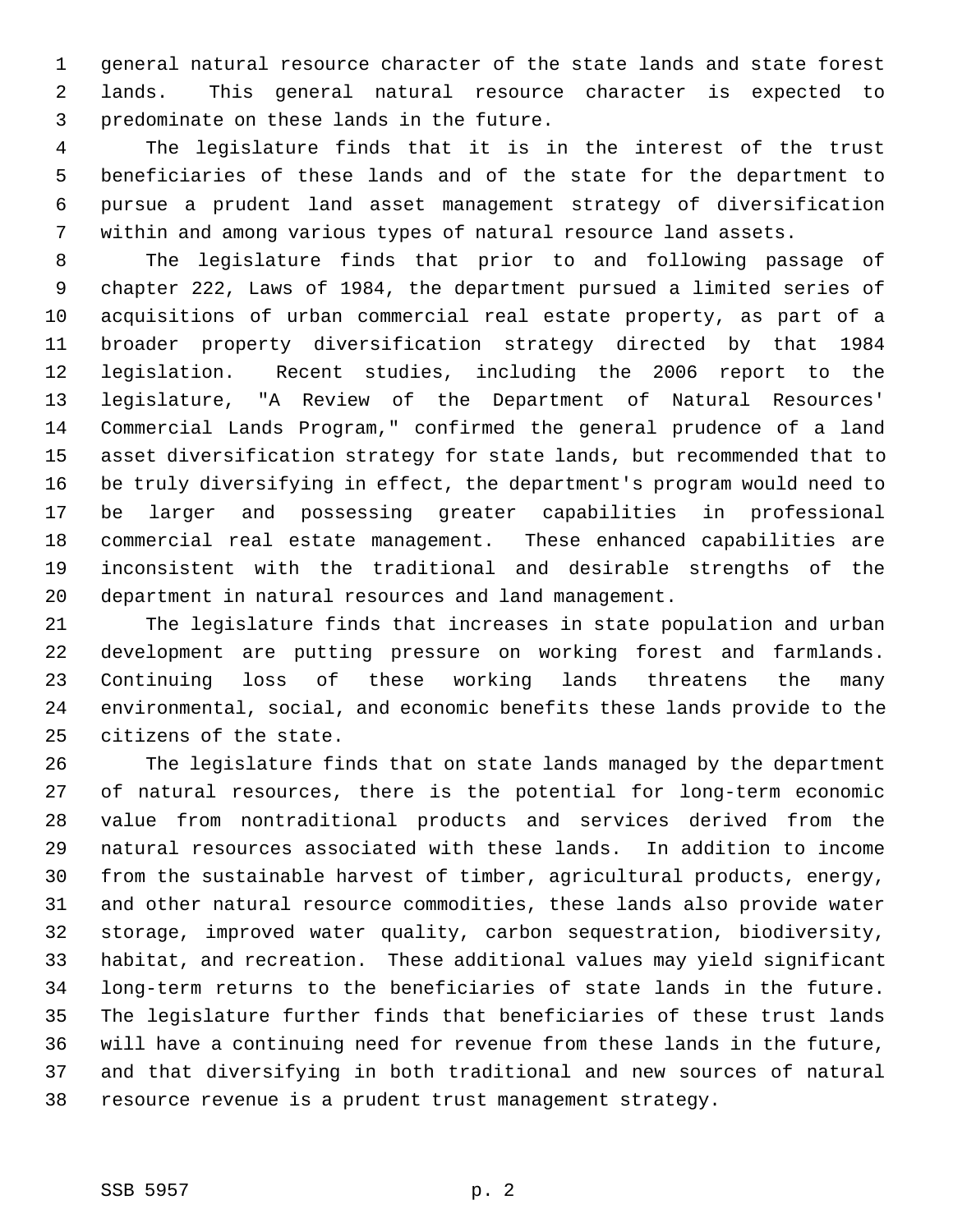1 general natural resource character of the state lands and state forest 2 lands. This general natural resource character is expected to 3 predominate on these lands in the future.

 4 The legislature finds that it is in the interest of the trust 5 beneficiaries of these lands and of the state for the department to 6 pursue a prudent land asset management strategy of diversification 7 within and among various types of natural resource land assets.

 8 The legislature finds that prior to and following passage of 9 chapter 222, Laws of 1984, the department pursued a limited series of 10 acquisitions of urban commercial real estate property, as part of a 11 broader property diversification strategy directed by that 1984 12 legislation. Recent studies, including the 2006 report to the 13 legislature, "A Review of the Department of Natural Resources' 14 Commercial Lands Program," confirmed the general prudence of a land 15 asset diversification strategy for state lands, but recommended that to 16 be truly diversifying in effect, the department's program would need to 17 be larger and possessing greater capabilities in professional 18 commercial real estate management. These enhanced capabilities are 19 inconsistent with the traditional and desirable strengths of the 20 department in natural resources and land management.

21 The legislature finds that increases in state population and urban 22 development are putting pressure on working forest and farmlands. 23 Continuing loss of these working lands threatens the many 24 environmental, social, and economic benefits these lands provide to the 25 citizens of the state.

26 The legislature finds that on state lands managed by the department 27 of natural resources, there is the potential for long-term economic 28 value from nontraditional products and services derived from the 29 natural resources associated with these lands. In addition to income 30 from the sustainable harvest of timber, agricultural products, energy, 31 and other natural resource commodities, these lands also provide water 32 storage, improved water quality, carbon sequestration, biodiversity, 33 habitat, and recreation. These additional values may yield significant 34 long-term returns to the beneficiaries of state lands in the future. 35 The legislature further finds that beneficiaries of these trust lands 36 will have a continuing need for revenue from these lands in the future, 37 and that diversifying in both traditional and new sources of natural 38 resource revenue is a prudent trust management strategy.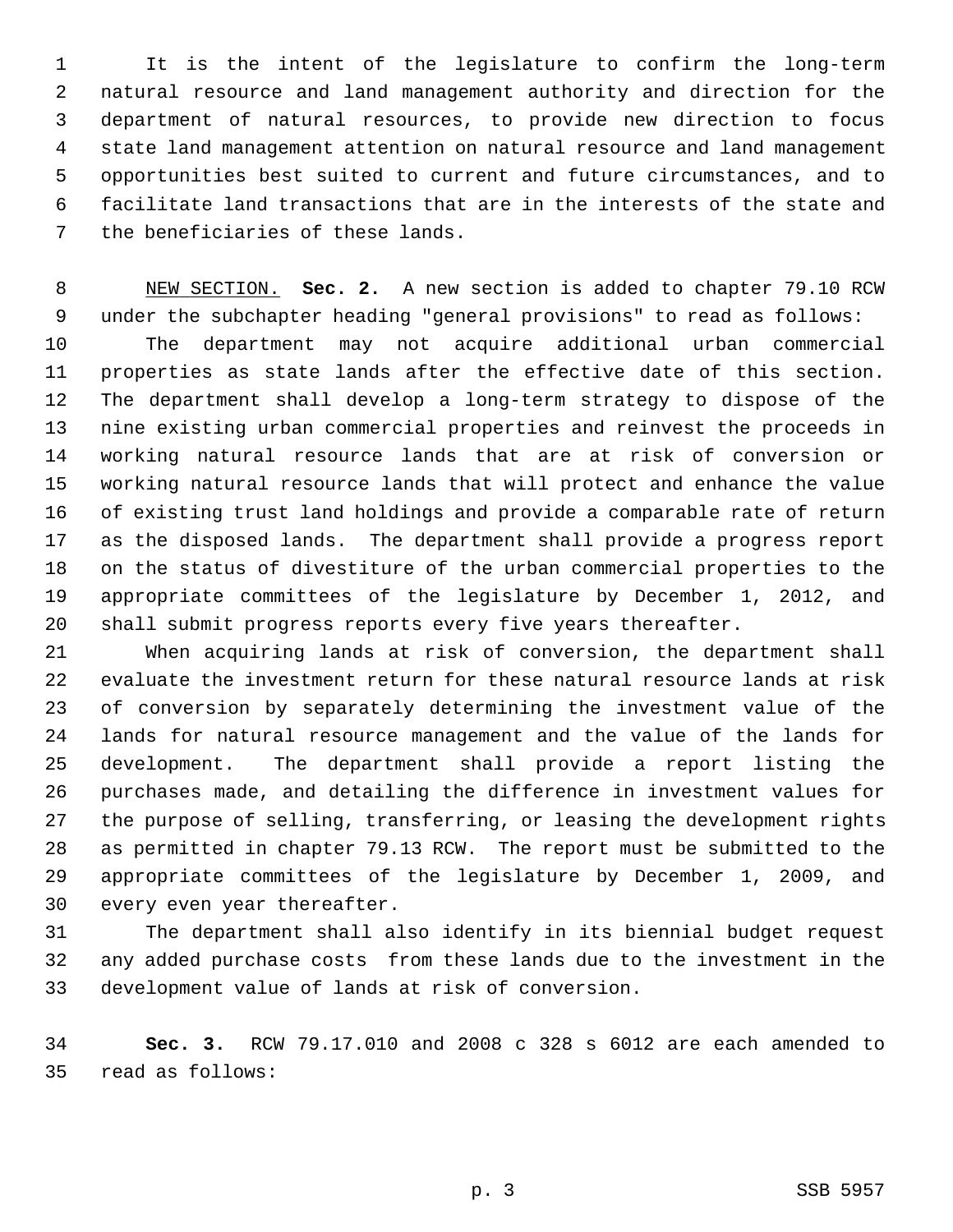1 It is the intent of the legislature to confirm the long-term 2 natural resource and land management authority and direction for the 3 department of natural resources, to provide new direction to focus 4 state land management attention on natural resource and land management 5 opportunities best suited to current and future circumstances, and to 6 facilitate land transactions that are in the interests of the state and 7 the beneficiaries of these lands.

 8 NEW SECTION. **Sec. 2.** A new section is added to chapter 79.10 RCW 9 under the subchapter heading "general provisions" to read as follows: 10 The department may not acquire additional urban commercial 11 properties as state lands after the effective date of this section. 12 The department shall develop a long-term strategy to dispose of the 13 nine existing urban commercial properties and reinvest the proceeds in 14 working natural resource lands that are at risk of conversion or 15 working natural resource lands that will protect and enhance the value 16 of existing trust land holdings and provide a comparable rate of return 17 as the disposed lands. The department shall provide a progress report 18 on the status of divestiture of the urban commercial properties to the 19 appropriate committees of the legislature by December 1, 2012, and 20 shall submit progress reports every five years thereafter.

21 When acquiring lands at risk of conversion, the department shall 22 evaluate the investment return for these natural resource lands at risk 23 of conversion by separately determining the investment value of the 24 lands for natural resource management and the value of the lands for 25 development. The department shall provide a report listing the 26 purchases made, and detailing the difference in investment values for 27 the purpose of selling, transferring, or leasing the development rights 28 as permitted in chapter 79.13 RCW. The report must be submitted to the 29 appropriate committees of the legislature by December 1, 2009, and 30 every even year thereafter.

31 The department shall also identify in its biennial budget request 32 any added purchase costs from these lands due to the investment in the 33 development value of lands at risk of conversion.

34 **Sec. 3.** RCW 79.17.010 and 2008 c 328 s 6012 are each amended to 35 read as follows: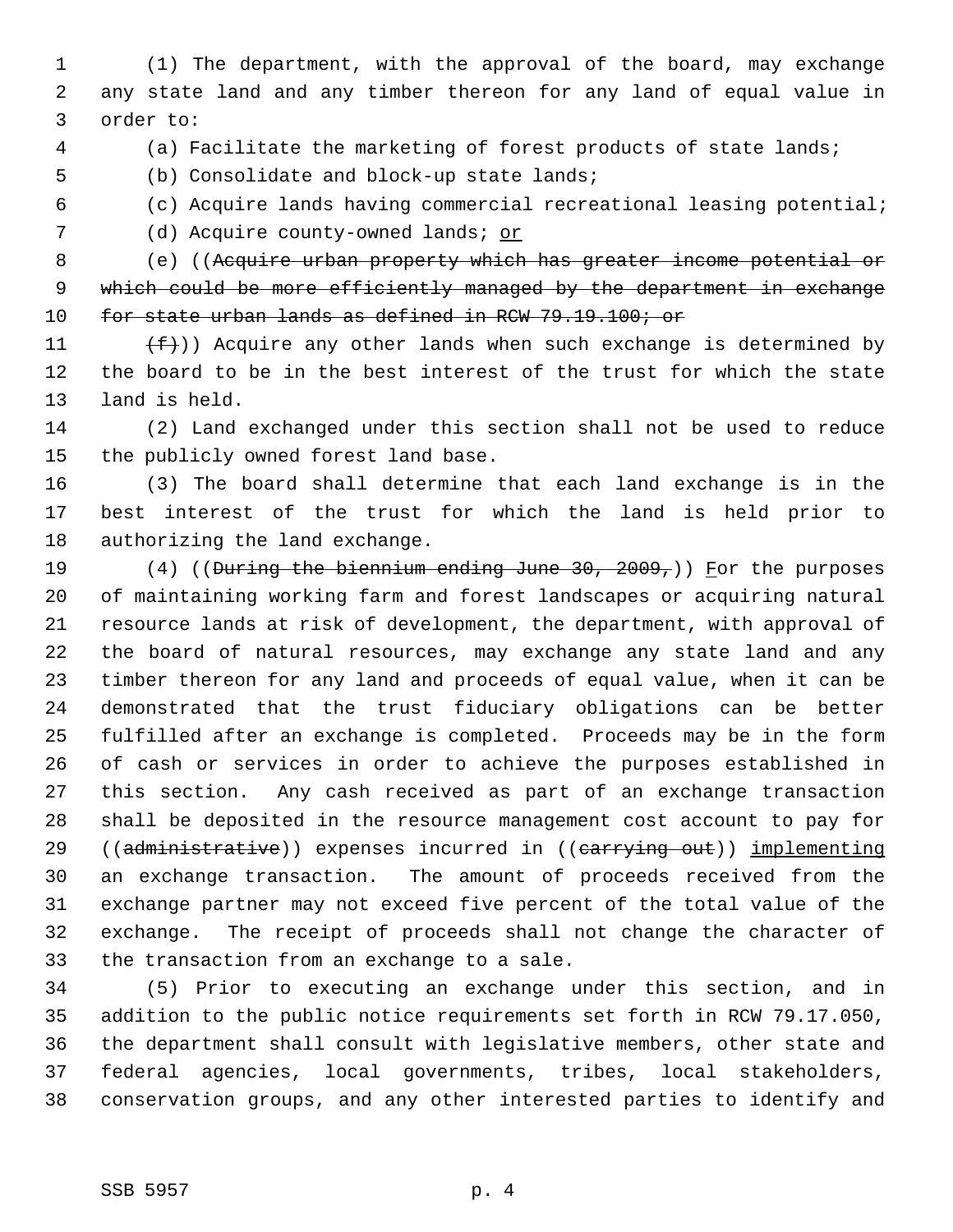1 (1) The department, with the approval of the board, may exchange 2 any state land and any timber thereon for any land of equal value in 3 order to:

4 (a) Facilitate the marketing of forest products of state lands;

5 (b) Consolidate and block-up state lands;

6 (c) Acquire lands having commercial recreational leasing potential;

7 (d) Acquire county-owned lands; or

 8 (e) ((Acquire urban property which has greater income potential or 9 which could be more efficiently managed by the department in exchange 10 for state urban lands as defined in RCW 79.19.100; or

11  $(f)$ ) Acquire any other lands when such exchange is determined by 12 the board to be in the best interest of the trust for which the state 13 land is held.

14 (2) Land exchanged under this section shall not be used to reduce 15 the publicly owned forest land base.

16 (3) The board shall determine that each land exchange is in the 17 best interest of the trust for which the land is held prior to 18 authorizing the land exchange.

19 (4) ((During the biennium ending June 30, 2009,)) For the purposes 20 of maintaining working farm and forest landscapes or acquiring natural 21 resource lands at risk of development, the department, with approval of 22 the board of natural resources, may exchange any state land and any 23 timber thereon for any land and proceeds of equal value, when it can be 24 demonstrated that the trust fiduciary obligations can be better 25 fulfilled after an exchange is completed. Proceeds may be in the form 26 of cash or services in order to achieve the purposes established in 27 this section. Any cash received as part of an exchange transaction 28 shall be deposited in the resource management cost account to pay for 29 ((administrative)) expenses incurred in ((carrying out)) implementing 30 an exchange transaction. The amount of proceeds received from the 31 exchange partner may not exceed five percent of the total value of the 32 exchange. The receipt of proceeds shall not change the character of 33 the transaction from an exchange to a sale.

34 (5) Prior to executing an exchange under this section, and in 35 addition to the public notice requirements set forth in RCW 79.17.050, 36 the department shall consult with legislative members, other state and 37 federal agencies, local governments, tribes, local stakeholders, 38 conservation groups, and any other interested parties to identify and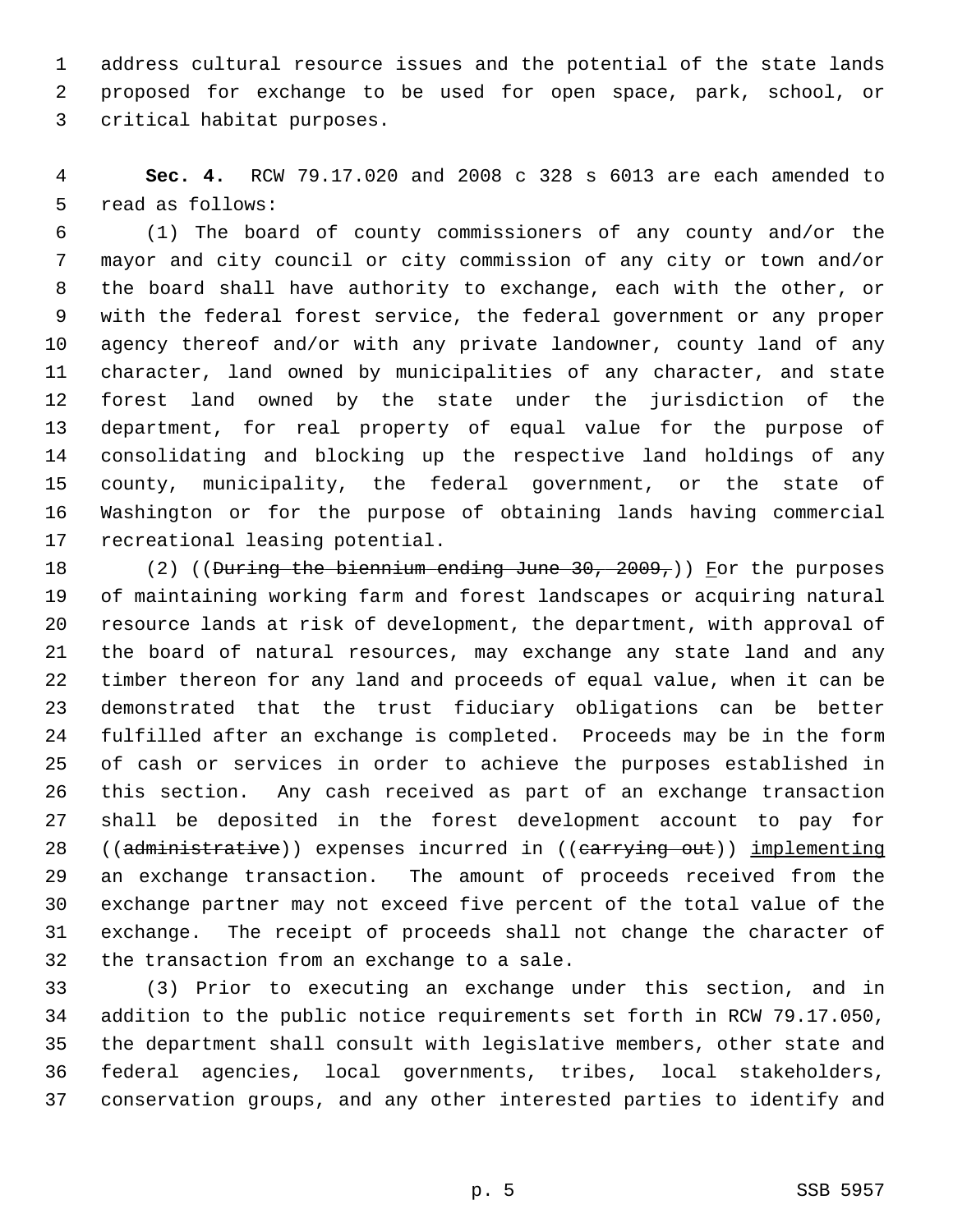1 address cultural resource issues and the potential of the state lands 2 proposed for exchange to be used for open space, park, school, or 3 critical habitat purposes.

 4 **Sec. 4.** RCW 79.17.020 and 2008 c 328 s 6013 are each amended to 5 read as follows:

 6 (1) The board of county commissioners of any county and/or the 7 mayor and city council or city commission of any city or town and/or 8 the board shall have authority to exchange, each with the other, or 9 with the federal forest service, the federal government or any proper 10 agency thereof and/or with any private landowner, county land of any 11 character, land owned by municipalities of any character, and state 12 forest land owned by the state under the jurisdiction of the 13 department, for real property of equal value for the purpose of 14 consolidating and blocking up the respective land holdings of any 15 county, municipality, the federal government, or the state of 16 Washington or for the purpose of obtaining lands having commercial 17 recreational leasing potential.

18 (2) ((During the biennium ending June 30, 2009,)) For the purposes 19 of maintaining working farm and forest landscapes or acquiring natural 20 resource lands at risk of development, the department, with approval of 21 the board of natural resources, may exchange any state land and any 22 timber thereon for any land and proceeds of equal value, when it can be 23 demonstrated that the trust fiduciary obligations can be better 24 fulfilled after an exchange is completed. Proceeds may be in the form 25 of cash or services in order to achieve the purposes established in 26 this section. Any cash received as part of an exchange transaction 27 shall be deposited in the forest development account to pay for 28 ((administrative)) expenses incurred in ((carrying out)) implementing 29 an exchange transaction. The amount of proceeds received from the 30 exchange partner may not exceed five percent of the total value of the 31 exchange. The receipt of proceeds shall not change the character of 32 the transaction from an exchange to a sale.

33 (3) Prior to executing an exchange under this section, and in 34 addition to the public notice requirements set forth in RCW 79.17.050, 35 the department shall consult with legislative members, other state and 36 federal agencies, local governments, tribes, local stakeholders, 37 conservation groups, and any other interested parties to identify and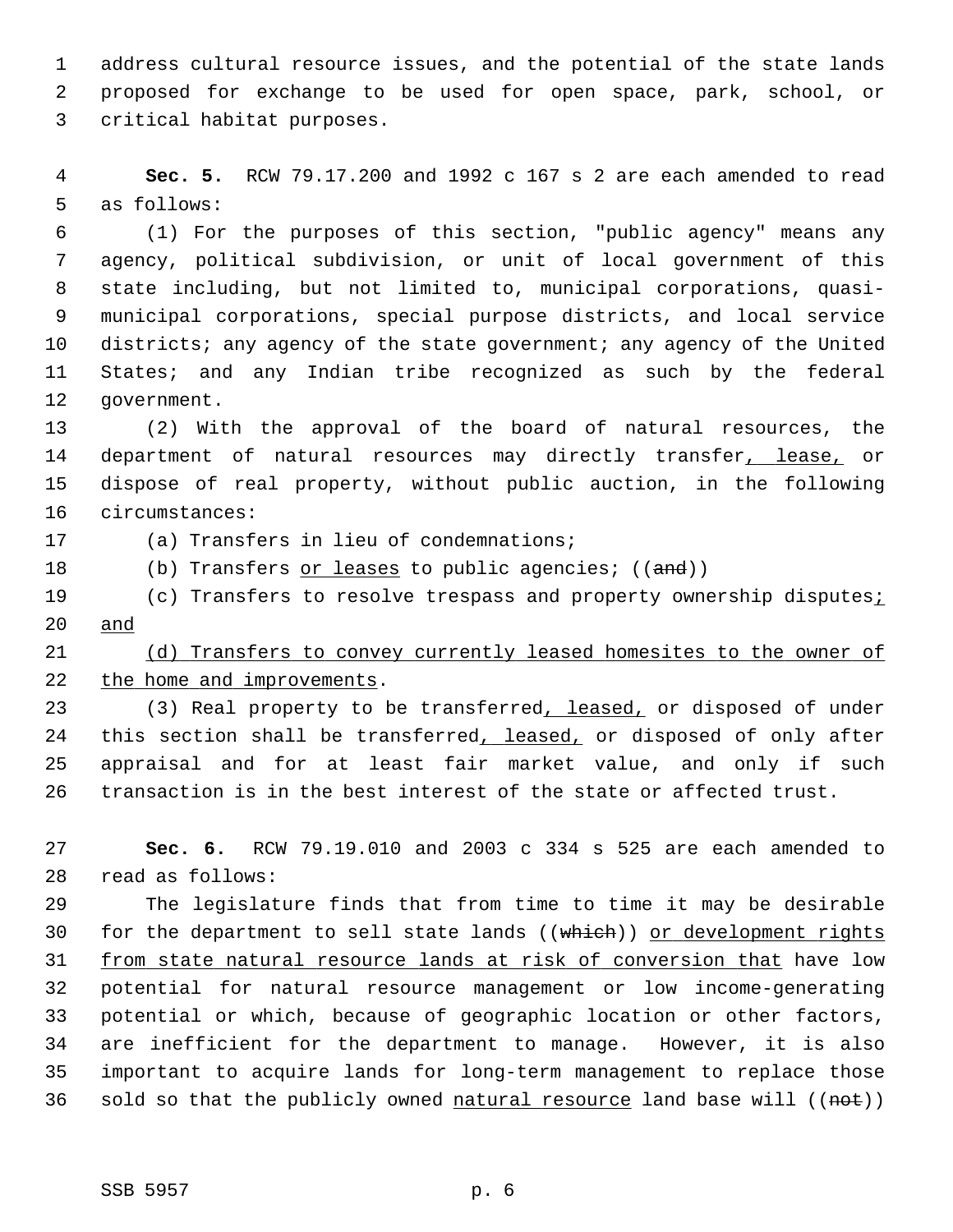1 address cultural resource issues, and the potential of the state lands 2 proposed for exchange to be used for open space, park, school, or 3 critical habitat purposes.

 4 **Sec. 5.** RCW 79.17.200 and 1992 c 167 s 2 are each amended to read 5 as follows:

 6 (1) For the purposes of this section, "public agency" means any 7 agency, political subdivision, or unit of local government of this 8 state including, but not limited to, municipal corporations, quasi- 9 municipal corporations, special purpose districts, and local service 10 districts; any agency of the state government; any agency of the United 11 States; and any Indian tribe recognized as such by the federal 12 government.

13 (2) With the approval of the board of natural resources, the 14 department of natural resources may directly transfer, lease, or 15 dispose of real property, without public auction, in the following 16 circumstances:

17 (a) Transfers in lieu of condemnations;

18 (b) Transfers or leases to public agencies; ((and))

19 (c) Transfers to resolve trespass and property ownership disputes; 20 and

21 (d) Transfers to convey currently leased homesites to the owner of 22 the home and improvements.

23 (3) Real property to be transferred, leased, or disposed of under 24 this section shall be transferred, leased, or disposed of only after 25 appraisal and for at least fair market value, and only if such 26 transaction is in the best interest of the state or affected trust.

27 **Sec. 6.** RCW 79.19.010 and 2003 c 334 s 525 are each amended to 28 read as follows:

29 The legislature finds that from time to time it may be desirable 30 for the department to sell state lands ((which)) or development rights 31 from state natural resource lands at risk of conversion that have low 32 potential for natural resource management or low income-generating 33 potential or which, because of geographic location or other factors, 34 are inefficient for the department to manage. However, it is also 35 important to acquire lands for long-term management to replace those 36 sold so that the publicly owned natural resource land base will  $((net))$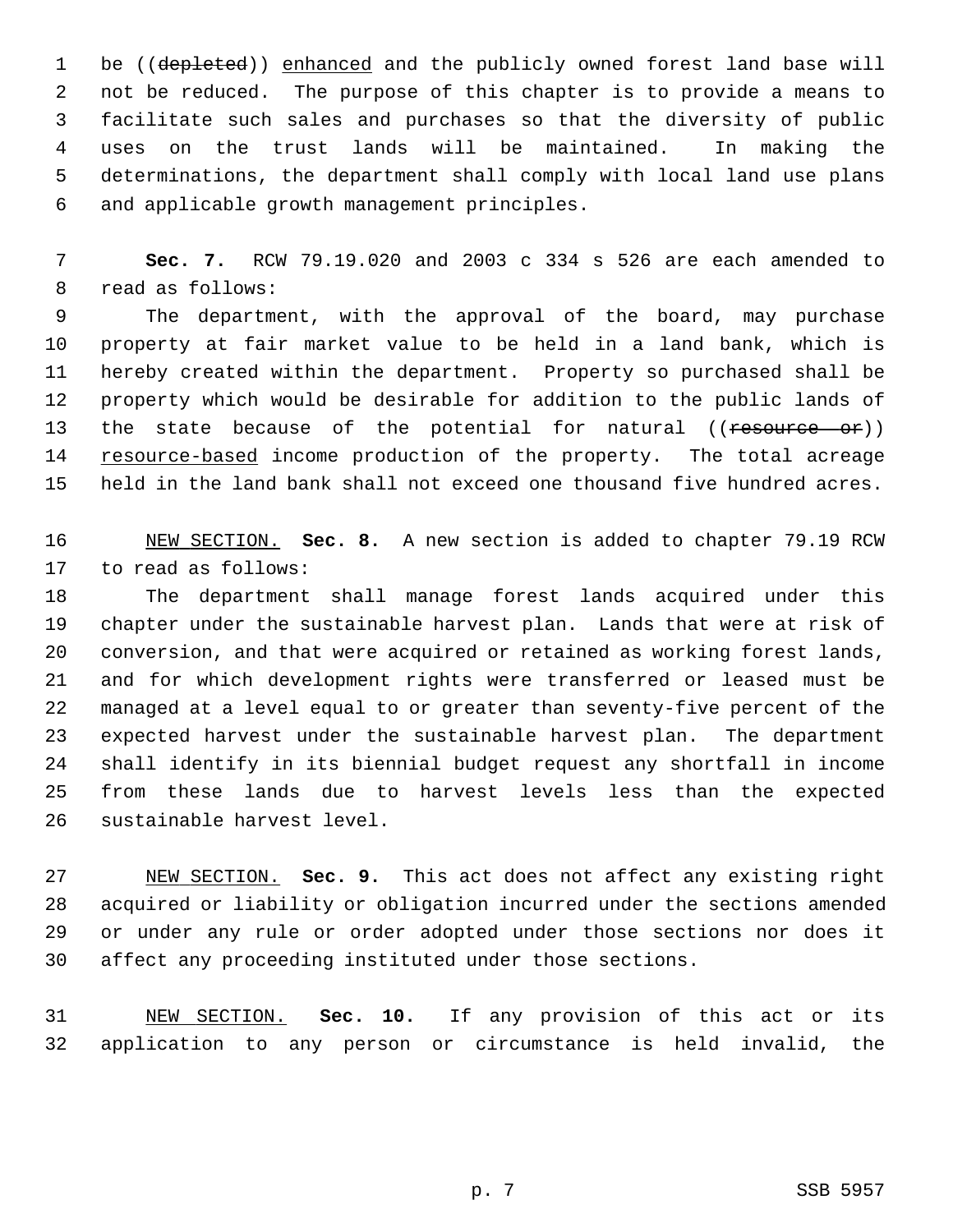1 be ((depleted)) enhanced and the publicly owned forest land base will 2 not be reduced. The purpose of this chapter is to provide a means to 3 facilitate such sales and purchases so that the diversity of public 4 uses on the trust lands will be maintained. In making the 5 determinations, the department shall comply with local land use plans 6 and applicable growth management principles.

 7 **Sec. 7.** RCW 79.19.020 and 2003 c 334 s 526 are each amended to 8 read as follows:

 9 The department, with the approval of the board, may purchase 10 property at fair market value to be held in a land bank, which is 11 hereby created within the department. Property so purchased shall be 12 property which would be desirable for addition to the public lands of 13 the state because of the potential for natural ((resource or)) 14 resource-based income production of the property. The total acreage 15 held in the land bank shall not exceed one thousand five hundred acres.

16 NEW SECTION. **Sec. 8.** A new section is added to chapter 79.19 RCW 17 to read as follows:

18 The department shall manage forest lands acquired under this 19 chapter under the sustainable harvest plan. Lands that were at risk of 20 conversion, and that were acquired or retained as working forest lands, 21 and for which development rights were transferred or leased must be 22 managed at a level equal to or greater than seventy-five percent of the 23 expected harvest under the sustainable harvest plan. The department 24 shall identify in its biennial budget request any shortfall in income 25 from these lands due to harvest levels less than the expected 26 sustainable harvest level.

27 NEW SECTION. **Sec. 9.** This act does not affect any existing right 28 acquired or liability or obligation incurred under the sections amended 29 or under any rule or order adopted under those sections nor does it 30 affect any proceeding instituted under those sections.

31 NEW SECTION. **Sec. 10.** If any provision of this act or its 32 application to any person or circumstance is held invalid, the